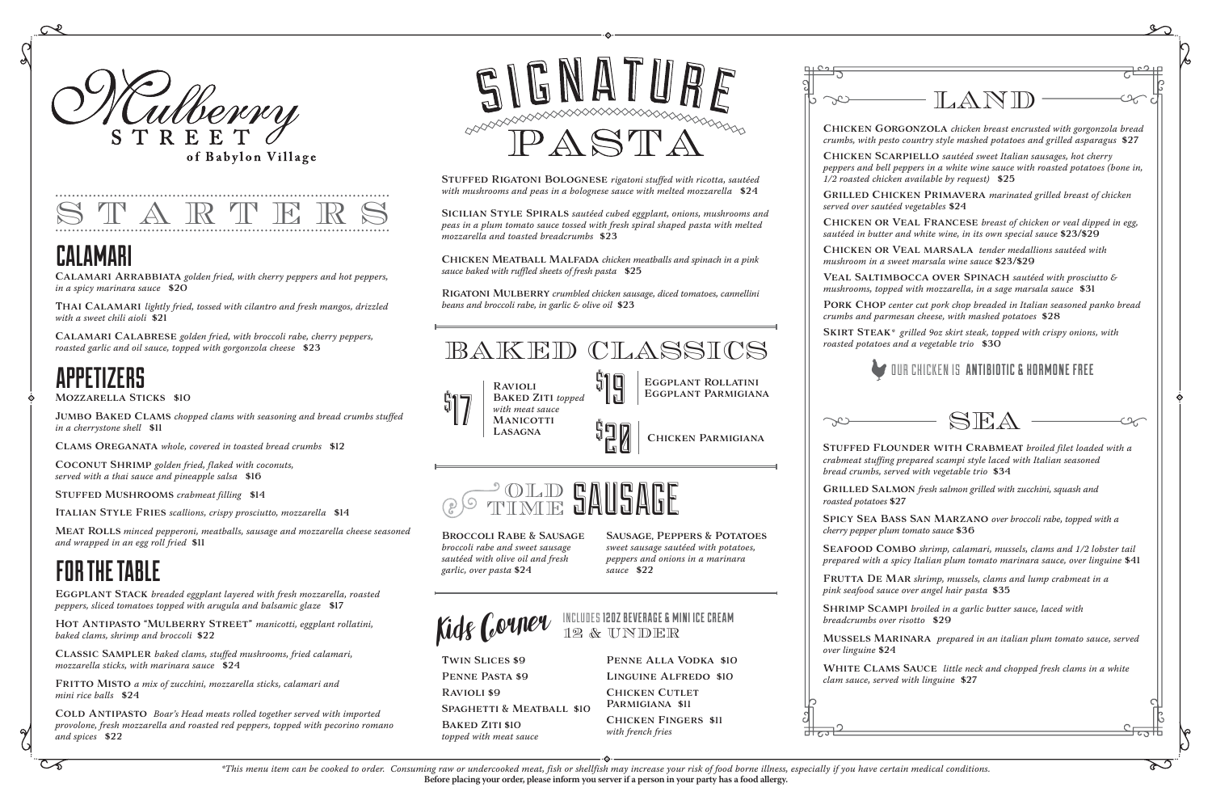

of Babylon Village

# CALAMARI

ھ

# APPETIZERS

# FOR THE TABLE

Calamari Arrabbiata *golden fried, with cherry peppers and hot peppers, in a spicy marinara sauce* \$20

Thai Calamari *lightly fried, tossed with cilantro and fresh mangos, drizzled with a sweet chili aioli* \$21

Calamari Calabrese *golden fried, with broccoli rabe, cherry peppers, roasted garlic and oil sauce, topped with gorgonzola cheese* \$23

Mozzarella Sticks \$10

Jumbo Baked Clams *chopped clams with seasoning and bread crumbs stuffed in a cherrystone shell* \$11

Clams Oreganata *whole, covered in toasted bread crumbs* \$12

Coconut Shrimp *golden fried, flaked with coconuts, served with a thai sauce and pineapple salsa* \$16

Stuffed Mushrooms *crabmeat filling* \$14

Italian Style Fries *scallions, crispy prosciutto, mozzarella* \$14

COLD ANTIPASTO *Boar's Head meats rolled together served with imported provolone, fresh mozzarella and roasted red peppers, topped with pecorino romano and spices* \$22



Meat Rolls *minced pepperoni, meatballs, sausage and mozzarella cheese seasoned and wrapped in an egg roll fried* \$11

Eggplant Stack *breaded eggplant layered with fresh mozzarella, roasted peppers, sliced tomatoes topped with arugula and balsamic glaze* \$17

Hot Antipasto "Mulberry Street" *manicotti, eggplant rollatini, baked clams, shrimp and broccoli* \$22

Classic Sampler *baked clams, stuffed mushrooms, fried calamari, mozzarella sticks, with marinara sauce* \$24

Fritto Misto *a mix of zucchini, mozzarella sticks, calamari and mini rice balls* \$24

*broccoli rabe and sweet sausage sautéed with olive oil and fresh garlic, over pasta* \$24

SPAGHETTI & MEATBALL \$10

*1/2 roasted chicken available by request)* \$25

*served over sautéed vegetables* \$24

## INCLUDES 12OZ BEVERAGE & MINI ICE CREAM Kids Couner NETTLE REVERAGE & M

*mushroom in a sweet marsala wine sauce* \$23/\$29

BAKED ZITI \$10 *topped with meat sauce* *crumbs and parmesan cheese, with mashed potatoes* \$28

# Chicken Gorgonzola *chicken breast encrusted with gorgonzola bread crumbs, with pesto country style mashed potatoes and grilled asparagus* \$27 Chicken Scarpiello *sautéed sweet Italian sausages, hot cherry peppers and bell peppers in a white wine sauce with roasted potatoes (bone in,*  Grilled Chicken Primavera *marinated grilled breast of chicken*  Chicken or Veal Francese *breast of chicken or veal dipped in egg, sautéed in butter and white wine, in its own special sauce* \$23/\$29 Chicken or Veal marsala *tender medallions sautéed with*  Veal Saltimbocca over Spinach *sautéed with prosciutto & mushrooms, topped with mozzarella, in a sage marsala sauce* \$31 PORK CHOP center cut pork chop breaded in Italian seasoned panko bread Skirt Steak*\* grilled 9oz skirt steak, topped with crispy onions, with*  Stuffed Flounder with Crabmeat *broiled filet loaded with a crabmeat stuffing prepared scampi style laced with Italian seasoned*  Grilled Salmon *fresh salmon grilled with zucchini, squash and*  Spicy Sea Bass San Marzano *over broccoli rabe, topped with a*  SEAFOOD COMBO *shrimp, calamari, mussels, clams and 1/2 lobster tail prepared with a spicy Italian plum tomato marinara sauce, over linguine* \$41 FRUTTA DE MAR shrimp, mussels, clams and lump crabmeat in a SHRIMP SCAMPI *broiled in a garlic butter sauce, laced with* Mussels Marinara *prepared in an italian plum tomato sauce, served*  White Clams Sauce *little neck and chopped fresh clams in a white*  LAND  $SKA$ OUR CHICKEN IS ANTIBIOTIC & HORMONE FREE

*roasted potatoes and a vegetable trio* \$30



*bread crumbs, served with vegetable trio* \$34

*roasted potatoes* \$27

*cherry pepper plum tomato sauce* \$36



*pink seafood sauce over angel hair pasta* \$35

*breadcrumbs over risotto* \$29

*over linguine* \$24

*clam sauce, served with linguine* \$27

| माटर |  |  |
|------|--|--|
|      |  |  |



Stuffed Rigatoni Bolognese *rigatoni stuffed with ricotta, sautéed with mushrooms and peas in a bolognese sauce with melted mozzarella* \$24

Sicilian Style Spirals *sautéed cubed eggplant, onions, mushrooms and peas in a plum tomato sauce tossed with fresh spiral shaped pasta with melted mozzarella and toasted breadcrumbs* \$23

Chicken Meatball Malfada *chicken meatballs and spinach in a pink sauce baked with ruffled sheets of fresh pasta* \$25

Rigatoni Mulberry *crumbled chicken sausage, diced tomatoes, cannellini beans and broccoli rabe, in garlic & olive oil* \$23



Sausage, Peppers & Potatoes *sweet sausage sautéed with potatoes, peppers and onions in a marinara sauce* \$22

Twin Slices \$9 Penne Pasta \$9 Ravioli \$9

Penne Alla Vodka \$10 Linguine Alfredo \$10 CHICKEN CUTLET Parmigiana \$11 Chicken Fingers \$11 *with french fries*

| $\Box$ $\Box$ |  |
|---------------|--|
|               |  |
|               |  |
|               |  |
|               |  |
|               |  |